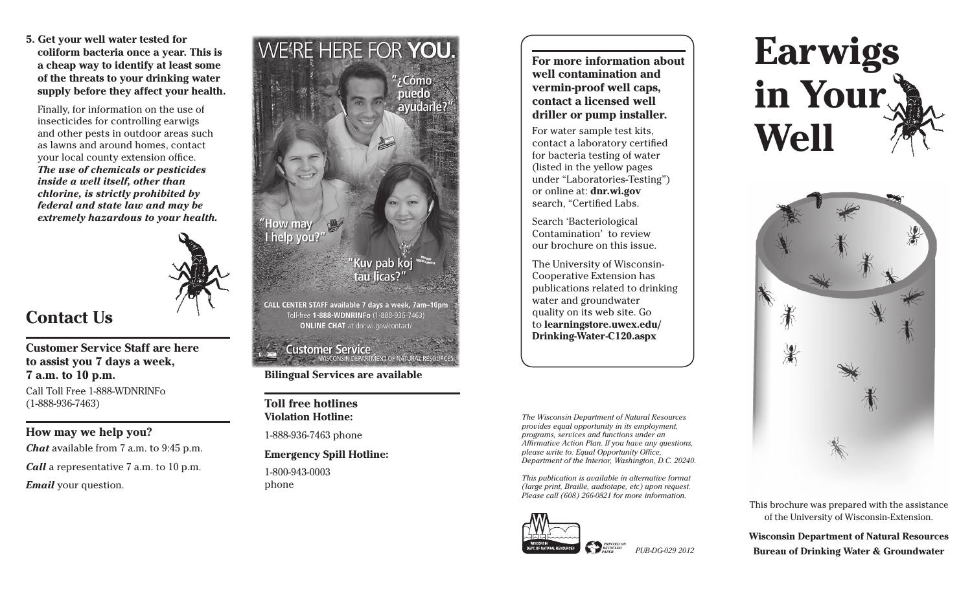**5. Get your well water tested for coliform bacteria once a year. This is a cheap way to identify at least some of the threats to your drinking water supply before they affect your health.**

 Finally, for information on the use of insecticides for controlling earwigs and other pests in outdoor areas such as lawns and around homes, contact your local county extension office. *The use of chemicals or pesticides inside a well itself, other than chlorine, is strictly prohibited by federal and state law and may be extremely hazardous to your health.*



### **Contact Us**

#### **Customer Service Staff are here to assist you 7 days a week, 7 a.m. to 10 p.m.**

Call Toll Free 1-888-WDNRINFo (1-888-936-7463)

#### **How may we help you?**

*Chat* available from 7 a.m. to 9:45 p.m. *Call* a representative 7 a.m. to 10 p.m. *Email* your question.



Toll-free 1-888-WDNRINFo (1-888-936-7463) **ONLINE CHAT** at dnr.wi.gov/contact/

## **Customer Service**<br>WISCONSIN DEPARTMENT OF NATURAL RE

#### **Bilingual Services are available**

**Toll free hotlines Violation Hotline:** 

1-888-936-7463 phone

#### **Emergency Spill Hotline:**

1-800-943-0003 phone

**For more information about well contamination and vermin-proof well caps, contact a licensed well driller or pump installer.**

For water sample test kits, contact a laboratory certified for bacteria testing of water (listed in the yellow pages under "Laboratories-Testing") or online at: **dnr.wi.gov**  search, "Certified Labs.

Search 'Bacteriological Contamination' to review our brochure on this issue.

The University of Wisconsin-Cooperative Extension has publications related to drinking water and groundwater quality on its web site. Go to **learningstore.uwex.edu/ Drinking-Water-C120.aspx**

*The Wisconsin Department of Natural Resources provides equal opportunity in its employment, programs, services and functions under an Affi rmative Action Plan. If you have any questions, please write to: Equal Opportunity Office, Department of the Interior, Washington, D.C. 20240.* 

*This publication is available in alternative format (large print, Braille, audiotape, etc) upon request. Please call (608) 266-0821 for more information.* 





# **Earwigs in Your Well**



This brochure was prepared with the assistance of the University of Wisconsin-Extension.

**Wisconsin Department of Natural Resources Bureau of Drinking Water & Groundwater**